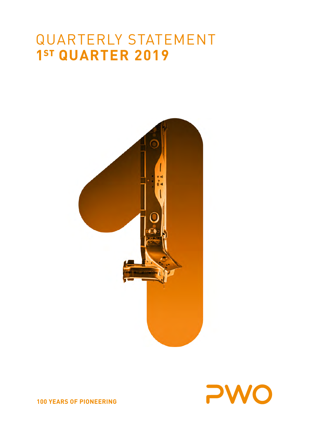# QUARTERLY STATEMENT **1ST QUARTER 2019**





**100 YEARS OF PIONEERING**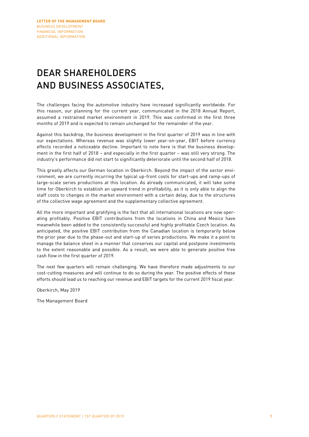# DEAR SHAREHOLDERS AND BUSINESS ASSOCIATES,

The challenges facing the automotive industry have increased significantly worldwide. For this reason, our planning for the current year, communicated in the 2018 Annual Report, assumed a restrained market environment in 2019. This was confirmed in the first three months of 2019 and is expected to remain unchanged for the remainder of the year.

Against this backdrop, the business development in the first quarter of 2019 was in line with our expectations. Whereas revenue was slightly lower year-on-year, EBIT before currency effects recorded a noticeable decline. Important to note here is that the business development in the first half of 2018 – and especially in the first quarter – was still very strong. The industry's performance did not start to significantly deteriorate until the second half of 2018.

This greatly affects our German location in Oberkirch. Beyond the impact of the sector environment, we are currently incurring the typical up-front costs for start-ups and ramp-ups of large-scale series productions at this location. As already communicated, it will take some time for Oberkirch to establish an upward trend in profitability, as it is only able to align the staff costs to changes in the market environment with a certain delay, due to the structures of the collective wage agreement and the supplementary collective agreement.

All the more important and gratifying is the fact that all international locations are now operating profitably. Positive EBIT contributions from the locations in China and Mexico have meanwhile been added to the consistently successful and highly profitable Czech location. As anticipated, the positive EBIT contribution from the Canadian location is temporarily below the prior year due to the phase-out and start-up of series productions. We make it a point to manage the balance sheet in a manner that conserves our capital and postpone investments to the extent reasonable and possible. As a result, we were able to generate positive free cash flow in the first quarter of 2019.

The next few quarters will remain challenging. We have therefore made adjustments to our cost-cutting measures and will continue to do so during the year. The positive effects of these efforts should lead us to reaching our revenue and EBIT targets for the current 2019 fiscal year.

Oberkirch, May 2019

The Management Board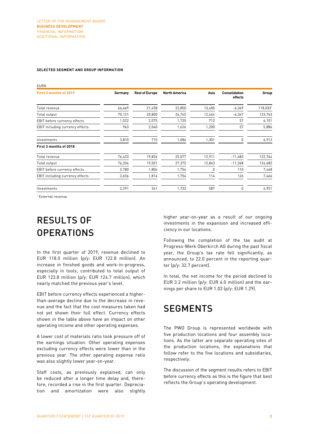#### **SELECTED SEGMENT AND GROUP INFORMATION**

| <b>EURK</b>                     |         |                       |                      |          |                                 |          |
|---------------------------------|---------|-----------------------|----------------------|----------|---------------------------------|----------|
| First 3 months of 2019          | Germany | <b>Rest of Europe</b> | <b>North America</b> | Asia     | <b>Consolidation</b><br>effects | Group    |
| Total revenue                   | 66,669  | 21,458                | 22,850               | 13,405   | $-6,349$                        | 118,033* |
| Total output                    | 70,121  | 20,800                | 26,745               | 12,444   | $-6,347$                        | 123,763  |
| EBIT before currency effects    | 1,522   | 2,075                 | 1,735                | 712      | 57                              | 6,101    |
| EBIT including currency effects | 963     | 2,040                 | 1,626                | 1,200    | 57                              | 5,886    |
| Investments                     | 3,810   | 715                   | 1,086                | 1,301    | <sup>n</sup>                    | 6,912    |
| First 3 months of 2018          |         |                       |                      |          |                                 |          |
| Total revenue                   | 76,433  | 19,826                | 25,077               | 12,911   | $-11,483$                       | 122,764  |
| Total output                    | 76,334  | 19,501                | 27,372               | 12,843   | $-11,368$                       | 124,682  |
| EBIT before currency effects    | 3,780   | 1,804                 | 1,754                | $\Omega$ | 110                             | 7,448    |
| EBIT including currency effects | 3,656   | 1,816                 | 1,754                | 114      | 126                             | 7,466    |
| Investments                     | 2,291   | 341                   | 1,732                | 587      | 0                               | 4,951    |

\* External revenue

# RESULTS OF OPERATIONS

In the first quarter of 2019, revenue declined to EUR 118.0 million (p/y: EUR 122.8 million). An increase in finished goods and work-in-progress, especially in tools, contributed to total output of EUR 123.8 million (p/y: EUR 124.7 million), which nearly matched the previous year's level.

EBIT before currency effects experienced a higherthan-average decline due to the decrease in revenue and the fact that the cost measures taken had not yet shown their full effect. Currency effects shown in the table above have an impact on other operating income and other operating expenses.

A lower cost of materials ratio took pressure off of the earnings situation. Other operating expenses excluding currency effects were lower than in the previous year. The other operating expense ratio was also slightly lower year-on-year.

Staff costs, as previously explained, can only be reduced after a longer time delay and, therefore, recorded a rise in the first quarter. Depreciation and amortization were also slightly

higher year-on-year as a result of our ongoing investments in the expansion and increased efficiency in our locations.

Following the completion of the tax audit at Progress-Werk Oberkirch AG during the past fiscal year, the Group's tax rate fell significantly, as announced, to 22.0 percent in the reporting quarter (p/y: 32.7 percent).

In total, the net income for the period declined to EUR 3.2 million (p/y: EUR 4.0 million) and the earnings per share to EUR 1.03 (p/y: EUR 1.29).

### **SEGMENTS**

The PWO Group is represented worldwide with five production locations and four assembly locations. As the latter are separate operating sites of the production locations, the explanations that follow refer to the five locations and subsidiaries, respectively.

The discussion of the segment results refers to EBIT before currency effects as this is the figure that best reflects the Group's operating development.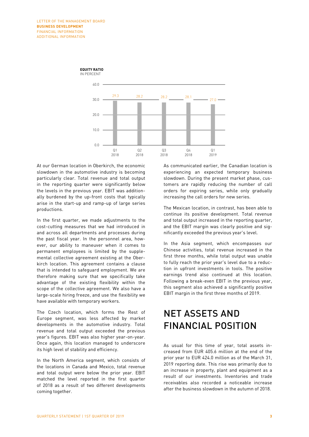

At our German location in Oberkirch, the economic slowdown in the automotive industry is becoming particularly clear. Total revenue and total output in the reporting quarter were significantly below the levels in the previous year. EBIT was additionally burdened by the up-front costs that typically arise in the start-up and ramp-up of large series productions.

In the first quarter, we made adjustments to the cost-cutting measures that we had introduced in and across all departments and processes during the past fiscal year. In the personnel area, however, our ability to maneuver when it comes to permanent employees is limited by the supplemental collective agreement existing at the Oberkirch location. This agreement contains a clause that is intended to safeguard employment. We are therefore making sure that we specifically take advantage of the existing flexibility within the scope of the collective agreement. We also have a large-scale hiring freeze, and use the flexibility we have available with temporary workers.

The Czech location, which forms the Rest of Europe segment, was less affected by market developments in the automotive industry. Total revenue and total output exceeded the previous year's figures. EBIT was also higher year-on-year. Once again, this location managed to underscore its high level of stability and efficiency.

In the North America segment, which consists of the locations in Canada and Mexico, total revenue and total output were below the prior year. EBIT matched the level reported in the first quarter of 2018 as a result of two different developments coming together.

As communicated earlier, the Canadian location is experiencing an expected temporary business slowdown. During the present market phase, customers are rapidly reducing the number of call orders for expiring series, while only gradually increasing the call orders for new series.

The Mexican location, in contrast, has been able to continue its positive development. Total revenue and total output increased in the reporting quarter, and the EBIT margin was clearly positive and significantly exceeded the previous year's level.

In the Asia segment, which encompasses our Chinese activities, total revenue increased in the first three months, while total output was unable to fully reach the prior year's level due to a reduction in upfront investments in tools. The positive earnings trend also continued at this location. Following a break-even EBIT in the previous year, this segment also achieved a significantly positive EBIT margin in the first three months of 2019.

# NET ASSETS AND FINANCIAL POSITION

As usual for this time of year, total assets increased from EUR 405.6 million at the end of the prior year to EUR 424.0 million as of the March 31, 2019 reporting date. This rise was primarily due to an increase in property, plant and equipment as a result of our investments. Inventories and trade receivables also recorded a noticeable increase after the business slowdown in the autumn of 2018.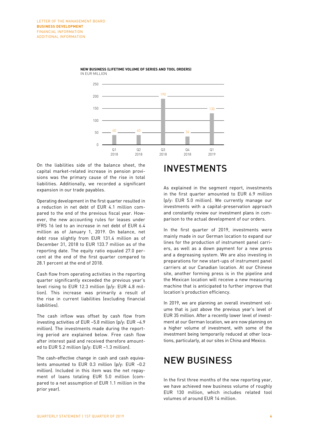



On the liabilities side of the balance sheet, the capital market-related increase in pension provisions was the primary cause of the rise in total liabilities. Additionally, we recorded a significant expansion in our trade payables.

Operating development in the first quarter resulted in a reduction in net debt of EUR 4.1 million compared to the end of the previous fiscal year. However, the new accounting rules for leases under IFRS 16 led to an increase in net debt of EUR 6.4 million as of January 1, 2019. On balance, net debt rose slightly from EUR 131.4 million as of December 31, 2018 to EUR 133.7 million as of the reporting date. The equity ratio equaled 27.0 percent at the end of the first quarter compared to 28.1 percent at the end of 2018.

Cash flow from operating activities in the reporting quarter significantly exceeded the previous year's level rising to EUR 12.3 million (p/y: EUR 4.8 million). This increase was primarily a result of the rise in current liabilities (excluding financial liabilities).

The cash inflow was offset by cash flow from investing activities of EUR –5.8 million (p/y: EUR –4.9 million). The investments made during the reporting period are explained below. Free cash flow after interest paid and received therefore amounted to EUR 5.2 million (p/y: EUR –1.3 million).

The cash-effective change in cash and cash equivalents amounted to EUR 0.3 million (p/y: EUR –0.2 million). Included in this item was the net repayment of loans totaling EUR 5.0 million (compared to a net assumption of EUR 1.1 million in the prior year).

### INVESTMENTS

As explained in the segment report, investments in the first quarter amounted to EUR 6.9 million (p/y: EUR 5.0 million). We currently manage our investments with a capital-preservation approach and constantly review our investment plans in comparison to the actual development of our orders.

In the first quarter of 2019, investments were mainly made in our German location to expand our lines for the production of instrument panel carriers, as well as a down payment for a new press and a degreasing system. We are also investing in preparations for new start-ups of instrument panel carriers at our Canadian location. At our Chinese site, another forming press is in the pipeline and the Mexican location will receive a new measuring machine that is anticipated to further improve that location's production efficiency.

In 2019, we are planning an overall investment volume that is just above the previous year's level of EUR 35 million. After a recently lower level of investment at our German location, we are now planning on a higher volume of investment, with some of the investment being temporarily reduced at other locations, particularly, at our sites in China and Mexico.

### NEW BUSINESS

In the first three months of the new reporting year, we have achieved new business volume of roughly EUR 130 million, which includes related tool volumes of around EUR 14 million.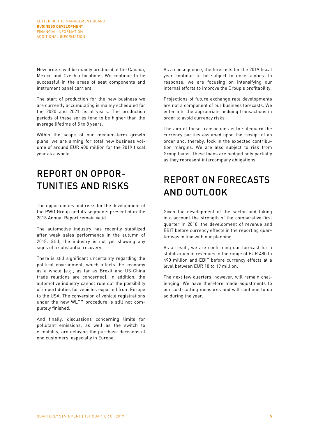New orders will be mainly produced at the Canada, Mexico and Czechia locations. We continue to be successful in the areas of seat components and instrument panel carriers.

The start of production for the new business we are currently accumulating is mainly scheduled for the 2020 and 2021 fiscal years. The production periods of these series tend to be higher than the average lifetime of 5 to 8 years.

Within the scope of our medium-term growth plans, we are aiming for total new business volume of around EUR 400 million for the 2019 fiscal year as a whole.

# REPORT ON OPPOR-TUNITIES AND RISKS

The opportunities and risks for the development of the PWO Group and its segments presented in the 2018 Annual Report remain valid.

The automotive industry has recently stabilized after weak sales performance in the autumn of 2018. Still, the industry is not yet showing any signs of a substantial recovery.

There is still significant uncertainty regarding the political environment, which affects the economy as a whole (e.g., as far as Brexit and US-China trade relations are concerned). In addition, the automotive industry cannot rule out the possibility of import duties for vehicles exported from Europe to the USA. The conversion of vehicle registrations under the new WLTP procedure is still not completely finished.

And finally, discussions concerning limits for pollutant emissions, as well as the switch to e-mobility, are delaying the purchase decisions of end customers, especially in Europe.

As a consequence, the forecasts for the 2019 fiscal year continue to be subject to uncertainties. In response, we are focusing on intensifying our internal efforts to improve the Group's profitability.

Projections of future exchange rate developments are not a component of our business forecasts. We enter into the appropriate hedging transactions in order to avoid currency risks.

The aim of these transactions is to safeguard the currency parities assumed upon the receipt of an order and, thereby, lock in the expected contribution margins. We are also subject to risk from Group loans. These loans are hedged only partially as they represent intercompany obligations.

# REPORT ON FORECASTS AND OUTLOOK

Given the development of the sector and taking into account the strength of the comparative first quarter in 2018, the development of revenue and EBIT before currency effects in the reporting quarter was in line with our planning.

As a result, we are confirming our forecast for a stabilization in revenues in the range of EUR 480 to 490 million and EBIT before currency effects at a level between EUR 18 to 19 million.

The next few quarters, however, will remain challenging. We have therefore made adjustments to our cost-cutting measures and will continue to do so during the year.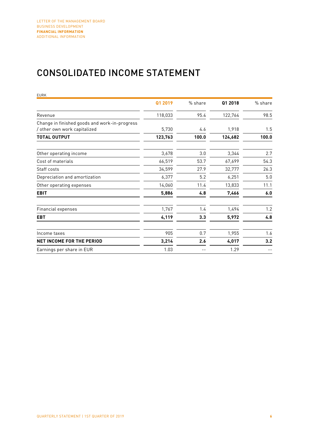# CONSOLIDATED INCOME STATEMENT

| <b>EURK</b>                                   |         |         |         |         |
|-----------------------------------------------|---------|---------|---------|---------|
|                                               | Q1 2019 | % share | Q1 2018 | % share |
| Revenue                                       | 118,033 | 95.4    | 122,764 | 98.5    |
| Change in finished goods and work-in-progress |         |         |         |         |
| / other own work capitalized                  | 5,730   | 4.6     | 1,918   | 1.5     |
| <b>TOTAL OUTPUT</b>                           | 123,763 | 100.0   | 124,682 | 100.0   |
| Other operating income                        | 3,678   | 3.0     | 3,344   | 2.7     |
| Cost of materials                             | 66,519  | 53.7    | 67,699  | 54.3    |
| Staff costs                                   | 34,599  | 27.9    | 32,777  | 26.3    |
| Depreciation and amortization                 | 6,377   | 5.2     | 6,251   | 5.0     |
| Other operating expenses                      | 14,060  | 11.4    | 13,833  | 11.1    |
| <b>EBIT</b>                                   | 5,886   | 4.8     | 7,466   | 6.0     |
| Financial expenses                            | 1,767   | 1.4     | 1,494   | 1.2     |
| <b>EBT</b>                                    | 4,119   | 3.3     | 5,972   | 4.8     |
| Income taxes                                  | 905     | 0.7     | 1,955   | 1.6     |
| <b>NET INCOME FOR THE PERIOD</b>              | 3,214   | 2.6     | 4,017   | 3.2     |
| Earnings per share in EUR                     | 1.03    |         | 1.29    |         |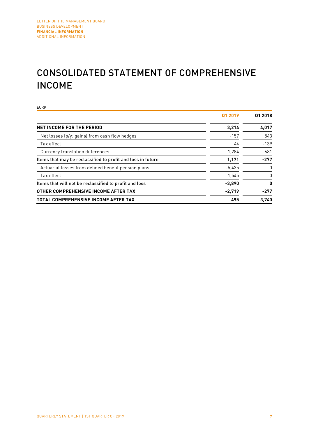# CONSOLIDATED STATEMENT OF COMPREHENSIVE INCOME

EURK **Q1 2019 Q1 2018 NET INCOME FOR THE PERIOD 4,017** Net losses (p/y: gains) from cash flow hedges -157 -157 543  $\frac{44}{4}$  -139 Currency translation differences and the control of the control of the control of the control of the control of the control of the control of the control of the control of the control of the control of the control of the c Items that may be reclassified to profit and loss in future **1,171** 1,171 -277 Actuarial losses from defined benefit pension plans and the state of the state of  $-5,435$  0  $\frac{1}{545}$  and  $\frac{1}{545}$  and  $\frac{1}{545}$  and  $\frac{1}{545}$  and  $\frac{1}{545}$  and  $\frac{1}{545}$  and  $\frac{1}{545}$  and  $\frac{1}{545}$  and  $\frac{1}{545}$  and  $\frac{1}{545}$  and  $\frac{1}{545}$  and  $\frac{1}{545}$  and  $\frac{1}{545}$  and  $\frac{1}{545}$  a Items that will not be reclassified to profit and loss **-3,890 0 OTHER COMPREHENSIVE INCOME AFTER TAX 420 COMPREHENSIVE INCOME AFTER TAX TOTAL COMPREHENSIVE INCOME AFTER TAX 495** 495 3,740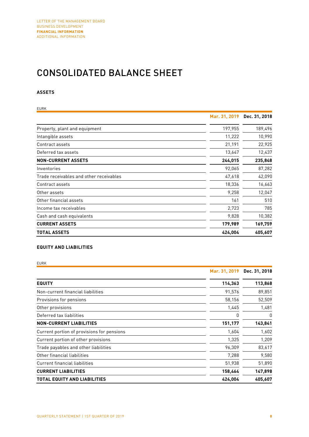# CONSOLIDATED BALANCE SHEET

### **ASSETS**

| EURK                                    |               |               |
|-----------------------------------------|---------------|---------------|
|                                         | Mar. 31, 2019 | Dec. 31, 2018 |
| Property, plant and equipment           | 197,955       | 189,496       |
| Intangible assets                       | 11,222        | 10,990        |
| Contract assets                         | 21,191        | 22,925        |
| Deferred tax assets                     | 13,647        | 12,437        |
| <b>NON-CURRENT ASSETS</b>               | 244,015       | 235,848       |
| Inventories                             | 92,065        | 87,282        |
| Trade receivables and other receivables | 47,618        | 42,090        |
| Contract assets                         | 18,336        | 16,663        |
| Other assets                            | 9,258         | 12,047        |
| Other financial assets                  | 161           | 510           |
| Income tax receivables                  | 2,723         | 785           |
| Cash and cash equivalents               | 9,828         | 10,382        |
| <b>CURRENT ASSETS</b>                   | 179,989       | 169,759       |
| <b>TOTAL ASSETS</b>                     | 424,004       | 405,607       |

### **EQUITY AND LIABILITIES**

EURK

|                                            | Mar. 31, 2019 | Dec. 31, 2018 |
|--------------------------------------------|---------------|---------------|
| <b>EQUITY</b>                              | 114,363       | 113,868       |
| Non-current financial liabilities          | 91,576        | 89,851        |
| Provisions for pensions                    | 58,156        | 52,509        |
| Other provisions                           | 1,445         | 1,481         |
| Deferred tax liabilities                   | 0             | 0             |
| <b>NON-CURRENT LIABILITIES</b>             | 151,177       | 143,841       |
| Current portion of provisions for pensions | 1,604         | 1,602         |
| Current portion of other provisions        | 1,325         | 1,209         |
| Trade payables and other liabilities       | 96,309        | 83,617        |
| Other financial liabilities                | 7,288         | 9,580         |
| <b>Current financial liabilities</b>       | 51,938        | 51,890        |
| <b>CURRENT LIABILITIES</b>                 | 158,464       | 147,898       |
| TOTAL EQUITY AND LIABILITIES               | 424,004       | 405,607       |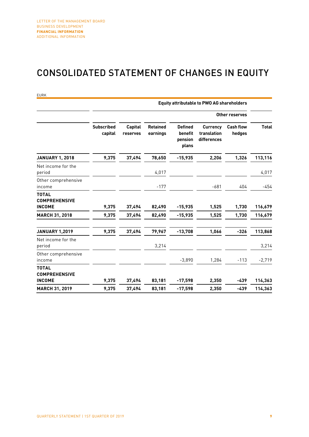### CONSOLIDATED STATEMENT OF CHANGES IN EQUITY

| <b>EURK</b>                                           |                              |                            |                             |                                               | <b>Equity attributable to PWO AG shareholders</b> |                            |                    |
|-------------------------------------------------------|------------------------------|----------------------------|-----------------------------|-----------------------------------------------|---------------------------------------------------|----------------------------|--------------------|
|                                                       |                              |                            |                             |                                               |                                                   | Other reserves             |                    |
|                                                       | <b>Subscribed</b><br>capital | <b>Capital</b><br>reserves | <b>Retained</b><br>earnings | <b>Defined</b><br>benefit<br>pension<br>plans | <b>Currency</b><br>translation<br>differences     | <b>Cash flow</b><br>hedges | <b>Total</b>       |
| <b>JANUARY 1, 2018</b>                                | 9,375                        | 37,494                     | 78,650                      | $-15,935$                                     | 2,206                                             | 1,326                      | 113,116            |
| Net income for the<br>period                          |                              |                            | 4,017                       |                                               |                                                   |                            | 4,017              |
| Other comprehensive<br>income                         |                              |                            | $-177$                      |                                               | $-681$                                            | 404                        | -454               |
| <b>TOTAL</b><br><b>COMPREHENSIVE</b>                  |                              |                            |                             |                                               |                                                   |                            |                    |
| <b>INCOME</b><br><b>MARCH 31, 2018</b>                | 9,375<br>9,375               | 37,494<br>37,494           | 82,490<br>82,490            | $-15,935$<br>$-15,935$                        | 1,525<br>1,525                                    | 1,730<br>1,730             | 116,679<br>116,679 |
| <b>JANUARY 1,2019</b>                                 | 9,375                        | 37,494                     | 79,967                      | $-13,708$                                     | 1,066                                             | $-326$                     | 113,868            |
| Net income for the<br>period                          |                              |                            | 3,214                       |                                               |                                                   |                            | 3,214              |
| Other comprehensive<br>income                         |                              |                            |                             | $-3,890$                                      | 1,284                                             | $-113$                     | $-2,719$           |
| <b>TOTAL</b><br><b>COMPREHENSIVE</b><br><b>INCOME</b> | 9,375                        | 37,494                     | 83,181                      | $-17,598$                                     | 2,350                                             | -439                       | 114,363            |
| <b>MARCH 31, 2019</b>                                 | 9,375                        | 37,494                     | 83,181                      | $-17,598$                                     | 2.350                                             | $-439$                     | 114,363            |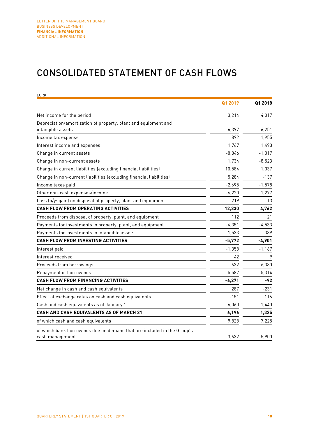### CONSOLIDATED STATEMENT OF CASH FLOWS

| <b>EURK</b>                                                                                |          |          |
|--------------------------------------------------------------------------------------------|----------|----------|
|                                                                                            | Q1 2019  | Q1 2018  |
| Net income for the period                                                                  | 3,214    | 4,017    |
| Depreciation/amortization of property, plant and equipment and                             |          |          |
| intangible assets                                                                          | 6,397    | 6,251    |
| Income tax expense                                                                         | 892      | 1,955    |
| Interest income and expenses                                                               | 1,767    | 1,493    |
| Change in current assets                                                                   | $-8,846$ | $-1,017$ |
| Change in non-current assets                                                               | 1,734    | $-8,523$ |
| Change in current liabilities (excluding financial liabilities)                            | 10,584   | 1,037    |
| Change in non-current liabilities (excluding financial liabilities)                        | 5,284    | $-137$   |
| Income taxes paid                                                                          | $-2,695$ | $-1,578$ |
| Other non-cash expenses/income                                                             | $-6,220$ | 1,277    |
| Loss (p/y: gain) on disposal of property, plant and equipment                              | 219      | $-13$    |
| <b>CASH FLOW FROM OPERATING ACTIVITIES</b>                                                 | 12,330   | 4,762    |
| Proceeds from disposal of property, plant, and equipment                                   | 112      | 21       |
| Payments for investments in property, plant, and equipment                                 | $-4,351$ | $-4,533$ |
| Payments for investments in intangible assets                                              | $-1,533$ | $-389$   |
| CASH FLOW FROM INVESTING ACTIVITIES                                                        | $-5,772$ | $-4,901$ |
| Interest paid                                                                              | $-1,358$ | $-1,167$ |
| Interest received                                                                          | 42       | 9        |
| Proceeds from borrowings                                                                   | 632      | 6,380    |
| Repayment of borrowings                                                                    | $-5,587$ | $-5,314$ |
| <b>CASH FLOW FROM FINANCING ACTIVITIES</b>                                                 | $-6,271$ | -92      |
| Net change in cash and cash equivalents                                                    | 287      | $-231$   |
| Effect of exchange rates on cash and cash equivalents                                      | $-151$   | 116      |
| Cash and cash equivalents as of January 1                                                  | 6,060    | 1,440    |
| CASH AND CASH EQUIVALENTS AS OF MARCH 31                                                   | 6,196    | 1,325    |
| of which cash and cash equivalents                                                         | 9,828    | 7,225    |
| of which bank borrowings due on demand that are included in the Group's<br>cash management | $-3,632$ | $-5,900$ |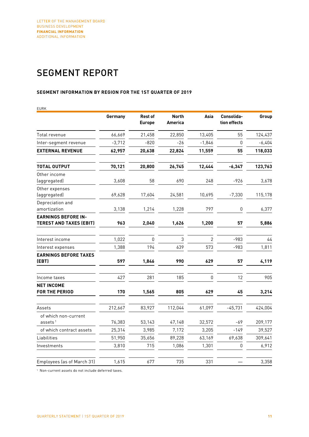# SEGMENT REPORT

### **SEGMENT INFORMATION BY REGION FOR THE 1ST QUARTER OF 2019**

| <b>EURK</b>                                           |          |                                 |                                |                |                            |          |
|-------------------------------------------------------|----------|---------------------------------|--------------------------------|----------------|----------------------------|----------|
|                                                       | Germany  | <b>Rest of</b><br><b>Europe</b> | <b>North</b><br><b>America</b> | Asia           | Consolida-<br>tion effects | Group    |
| Total revenue                                         | 66,669   | 21,458                          | 22,850                         | 13,405         | 55                         | 124,437  |
| Inter-segment revenue                                 | $-3,712$ | $-820$                          | $-26$                          | $-1,846$       | 0                          | $-6,404$ |
| <b>EXTERNAL REVENUE</b>                               | 62,957   | 20,638                          | 22,824                         | 11,559         | 55                         | 118,033  |
| <b>TOTAL OUTPUT</b>                                   | 70,121   | 20,800                          | 26,745                         | 12,444         | $-6,347$                   | 123,763  |
| Other income<br>(aggregated)                          | 3,608    | 58                              | 690                            | 248            | $-926$                     | 3,678    |
| Other expenses<br>(aggregated)                        | 69,628   | 17,604                          | 24,581                         | 10,695         | $-7,330$                   | 115,178  |
| Depreciation and<br>amortization                      | 3,138    | 1,214                           | 1,228                          | 797            | 0                          | 6,377    |
| <b>EARNINGS BEFORE IN-</b><br>TEREST AND TAXES (EBIT) | 963      | 2,040                           | 1,626                          | 1,200          | 57                         | 5,886    |
| Interest income                                       | 1,022    | $\Omega$                        | 3                              | $\overline{2}$ | $-983$                     | 44       |
| Interest expenses                                     | 1,388    | 194                             | 639                            | 573            | $-983$                     | 1,811    |
| <b>EARNINGS BEFORE TAXES</b><br>(EBT)                 | 597      | 1,846                           | 990                            | 629            | 57                         | 4,119    |
| Income taxes                                          | 427      | 281                             | 185                            | $\mathbf{0}$   | 12                         | 905      |
| <b>NET INCOME</b><br><b>FOR THE PERIOD</b>            | 170      | 1,565                           | 805                            | 629            | 45                         | 3,214    |
| Assets                                                | 212,667  | 83,927                          | 112,044                        | 61,097         | $-45,731$                  | 424,004  |
| of which non-current<br>assets $1$                    | 76,383   | 53,143                          | 47,148                         | 32,572         | -69                        | 209,177  |
| of which contract assets                              | 25,314   | 3,985                           | 7,172                          | 3,205          | $-149$                     | 39,527   |
| Liabilities                                           | 51,950   | 35,656                          | 89,228                         | 63,169         | 69,638                     | 309,641  |
| Investments                                           | 3,810    | 715                             | 1,086                          | 1,301          | 0                          | 6,912    |
| Employees (as of March 31)                            | 1,615    | 677                             | 735                            | 331            |                            | 3,358    |

1 Non-current assets do not include deferred taxes.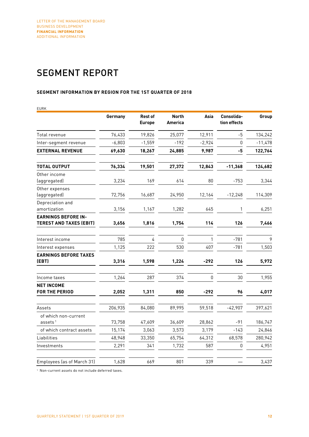# SEGMENT REPORT

### **SEGMENT INFORMATION BY REGION FOR THE 1ST QUARTER OF 2018**

| <b>EURK</b>                                           |          |                                 |                                |          |                            |           |
|-------------------------------------------------------|----------|---------------------------------|--------------------------------|----------|----------------------------|-----------|
|                                                       | Germany  | <b>Rest of</b><br><b>Europe</b> | <b>North</b><br><b>America</b> | Asia     | Consolida-<br>tion effects | Group     |
| Total revenue                                         | 76,433   | 19,826                          | 25,077                         | 12,911   | $-5$                       | 134,242   |
| Inter-segment revenue                                 | $-6,803$ | $-1,559$                        | $-192$                         | $-2,924$ | $\mathbf{0}$               | $-11,478$ |
| <b>EXTERNAL REVENUE</b>                               | 69,630   | 18,267                          | 24,885                         | 9,987    | -5                         | 122,764   |
| TOTAL OUTPUT                                          | 76,334   | 19,501                          | 27,372                         | 12,843   | $-11,368$                  | 124,682   |
| Other income<br>(aggregated)                          | 3,234    | 169                             | 614                            | 80       | $-753$                     | 3,344     |
| Other expenses<br>(aggregated)                        | 72,756   | 16,687                          | 24,950                         | 12,164   | $-12,248$                  | 114,309   |
| Depreciation and<br>amortization                      | 3,156    | 1,167                           | 1,282                          | 645      | 1                          | 6,251     |
| <b>EARNINGS BEFORE IN-</b><br>TEREST AND TAXES (EBIT) | 3,656    | 1,816                           | 1,754                          | 114      | 126                        | 7,466     |
| Interest income                                       | 785      | 4                               | 0                              | 1        | $-781$                     | 9         |
| Interest expenses                                     | 1,125    | 222                             | 530                            | 407      | $-781$                     | 1,503     |
| <b>EARNINGS BEFORE TAXES</b><br>(EBT)                 | 3,316    | 1,598                           | 1,224                          | $-292$   | 126                        | 5,972     |
| Income taxes                                          | 1,264    | 287                             | 374                            | 0        | 30                         | 1,955     |
| <b>NET INCOME</b><br>FOR THE PERIOD                   | 2,052    | 1,311                           | 850                            | -292     | 96                         | 4,017     |
| Assets                                                | 206,935  | 84,080                          | 89,995                         | 59,518   | $-42,907$                  | 397,621   |
| of which non-current<br>assets <sup>1</sup>           | 73,758   | 47,609                          | 36,609                         | 28,862   | $-91$                      | 186,747   |
| of which contract assets                              | 15,174   | 3,063                           | 3,573                          | 3,179    | $-143$                     | 24,846    |
| Liabilities                                           | 48,948   | 33,350                          | 65,754                         | 64,312   | 68,578                     | 280,942   |
| Investments                                           | 2,291    | 341                             | 1,732                          | 587      | 0                          | 4,951     |
| Employees (as of March 31)                            | 1,628    | 669                             | 801                            | 339      |                            | 3,437     |

1 Non-current assets do not include deferred taxes.